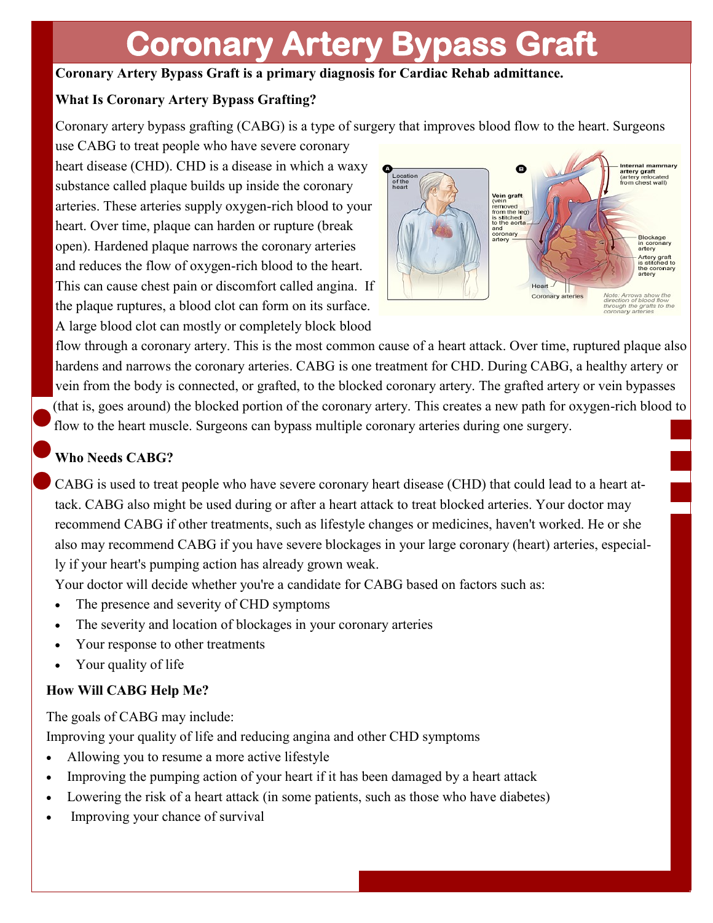# **Coronary Artery Bypass Graft**

### **Coronary Artery Bypass Graft is a primary diagnosis for Cardiac Rehab admittance.**

#### **What Is Coronary Artery Bypass Grafting?**

Coronary artery bypass grafting (CABG) is a type of surgery that improves blood flow to the heart. Surgeons

use CABG to treat people who have severe coronary heart disease (CHD). CHD is a disease in which a waxy substance called plaque builds up inside the coronary arteries. These arteries supply oxygen-rich blood to your heart. Over time, plaque can harden or rupture (break open). Hardened plaque narrows the coronary arteries and reduces the flow of oxygen-rich blood to the heart. This can cause chest pain or discomfort called angina. If the plaque ruptures, a blood clot can form on its surface. A large blood clot can mostly or completely block blood



flow through a coronary artery. This is the most common cause of a heart attack. Over time, ruptured plaque also hardens and narrows the coronary arteries. CABG is one treatment for CHD. During CABG, a healthy artery or vein from the body is connected, or grafted, to the blocked coronary artery. The grafted artery or vein bypasses (that is, goes around) the blocked portion of the coronary artery. This creates a new path for oxygen-rich blood to flow to the heart muscle. Surgeons can bypass multiple coronary arteries during one surgery.

### **Who Needs CABG?**

CABG is used to treat people who have severe coronary heart disease (CHD) that could lead to a heart attack. CABG also might be used during or after a heart attack to treat blocked arteries. Your doctor may recommend CABG if other treatments, such as lifestyle changes or medicines, haven't worked. He or she also may recommend CABG if you have severe blockages in your large coronary (heart) arteries, especially if your heart's pumping action has already grown weak.

Your doctor will decide whether you're a candidate for CABG based on factors such as:

- The presence and severity of CHD symptoms
- The severity and location of blockages in your coronary arteries
- Your response to other treatments
- Your quality of life

#### **How Will CABG Help Me?**

The goals of CABG may include: Improving your quality of life and reducing angina and other CHD symptoms

- Allowing you to resume a more active lifestyle
- Improving the pumping action of your heart if it has been damaged by a heart attack
- Lowering the risk of a heart attack (in some patients, such as those who have diabetes)
- Improving your chance of survival